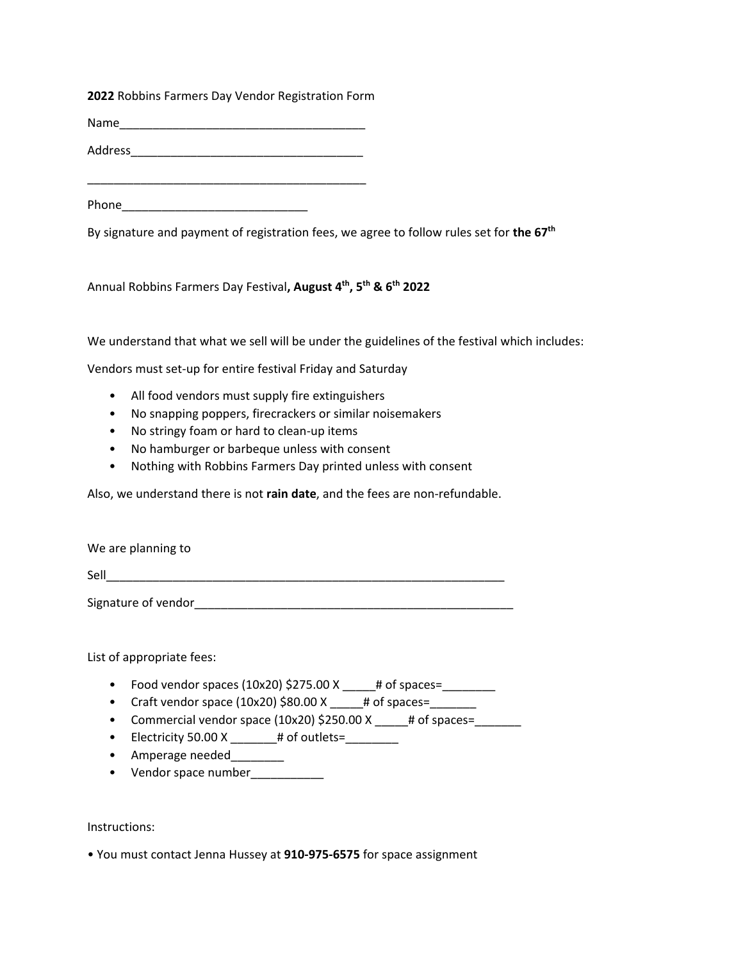**2022** Robbins Farmers Day Vendor Registration Form

Name was a set of the set of the set of the set of the set of the set of the set of the set of the set of the set of the set of the set of the set of the set of the set of the set of the set of the set of the set of the se

Address\_\_\_\_\_\_\_\_\_\_\_\_\_\_\_\_\_\_\_\_\_\_\_\_\_\_\_\_\_\_\_\_\_\_\_

\_\_\_\_\_\_\_\_\_\_\_\_\_\_\_\_\_\_\_\_\_\_\_\_\_\_\_\_\_\_\_\_\_\_\_\_\_\_\_\_\_\_

Phone\_\_\_\_\_\_\_\_\_\_\_\_\_\_\_\_\_\_\_\_\_\_\_\_\_\_\_\_

By signature and payment of registration fees, we agree to follow rules set for **the 67th**

Annual Robbins Farmers Day Festival**, August 4th, 5th & 6th 2022**

We understand that what we sell will be under the guidelines of the festival which includes:

Vendors must set-up for entire festival Friday and Saturday

- All food vendors must supply fire extinguishers
- No snapping poppers, firecrackers or similar noisemakers
- No stringy foam or hard to clean-up items
- No hamburger or barbeque unless with consent
- Nothing with Robbins Farmers Day printed unless with consent

Also, we understand there is not **rain date**, and the fees are non-refundable.

We are planning to

Sell

Signature of vendor\_\_\_\_\_\_\_\_\_\_\_\_\_\_\_\_\_\_\_\_\_\_\_\_\_\_\_\_\_\_\_\_\_\_\_\_\_\_\_\_\_\_\_\_\_\_\_\_

List of appropriate fees:

- Food vendor spaces (10x20) \$275.00 X \_\_\_\_\_# of spaces=\_\_\_\_\_\_\_\_
- Craft vendor space  $(10x20)$  \$80.00 X  $\qquad$  # of spaces=
- Commercial vendor space (10x20) \$250.00 X  $\frac{1}{2}$  + of spaces= $\frac{1}{2}$
- Electricity 50.00 X  $\_\_\_\_\_\$  # of outlets= $\_\_\_\_\_\_\_\_\_\$
- Amperage needed
- Vendor space number\_\_\_\_\_\_\_\_\_\_

Instructions:

• You must contact Jenna Hussey at **910-975-6575** for space assignment